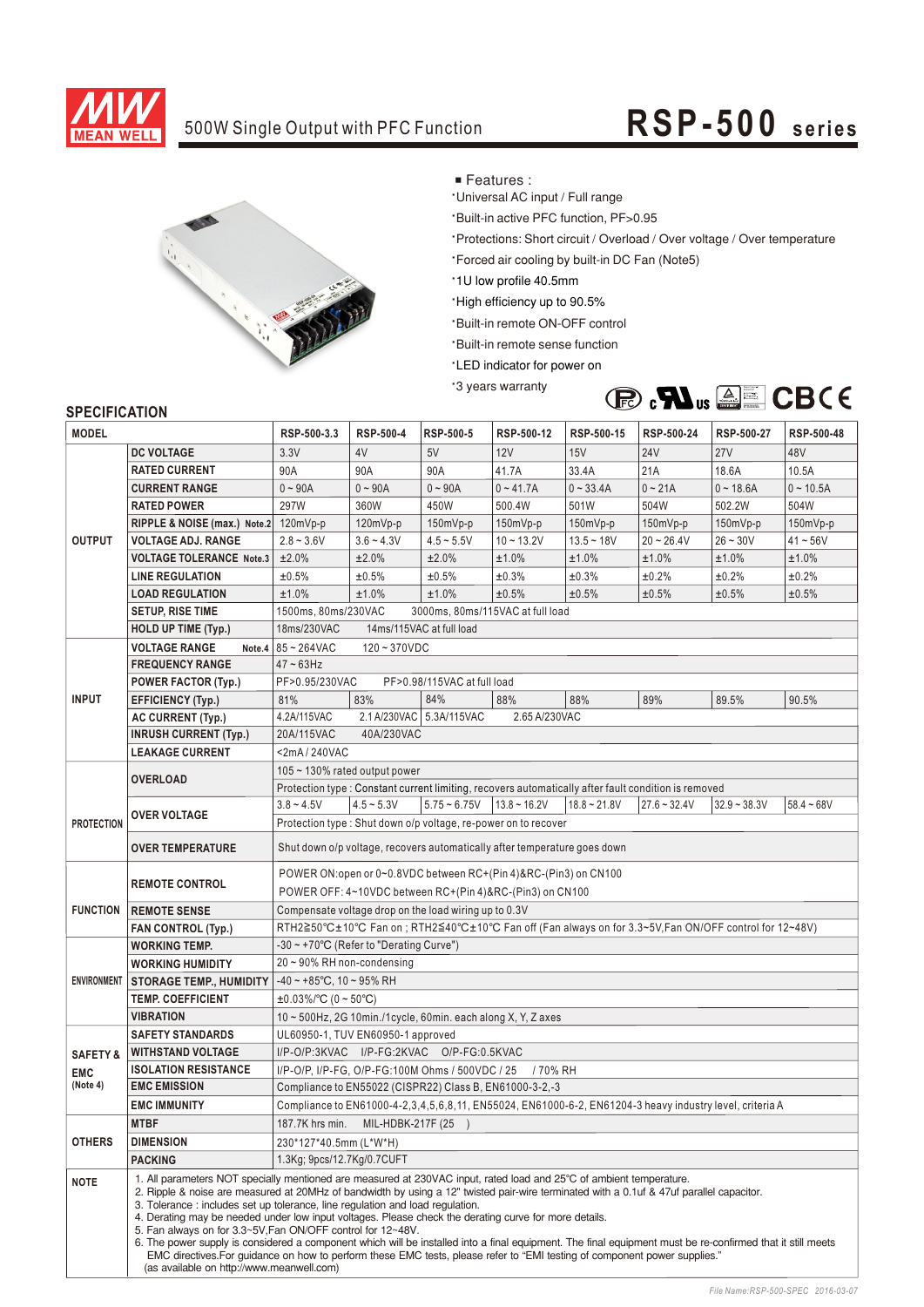

### 500W Single Output with PFC Function **RSP-500** series



■ Features :

\*Universal AC input / Full range

\*Built-in active PFC function, PF>0.95

\*Protections: Short circuit / Overload / Over voltage / Over temperature

\*Forced air cooling by built-in DC Fan (Note5)

\*1U low profile 40.5mm

'High efficiency up to 90.5%

\*Built-in remote ON-OFF control

**Built-in remote sense function** 

\*LED indicator for power on

'3 years warranty



#### **SPECIFICATION**

| <b>MODEL</b>        |                                                                                                                                                                                                                                                                                                                                                                                                                                                                                                                                                                                                                                                                                                                                                                                                                                                                   | RSP-500-3.3                                                                                                                                                                                                                           | <b>RSP-500-4</b>                          | RSP-500-5                   | RSP-500-12     | RSP-500-15                                                                                           | RSP-500-24     | RSP-500-27     | RSP-500-48   |  |  |  |
|---------------------|-------------------------------------------------------------------------------------------------------------------------------------------------------------------------------------------------------------------------------------------------------------------------------------------------------------------------------------------------------------------------------------------------------------------------------------------------------------------------------------------------------------------------------------------------------------------------------------------------------------------------------------------------------------------------------------------------------------------------------------------------------------------------------------------------------------------------------------------------------------------|---------------------------------------------------------------------------------------------------------------------------------------------------------------------------------------------------------------------------------------|-------------------------------------------|-----------------------------|----------------|------------------------------------------------------------------------------------------------------|----------------|----------------|--------------|--|--|--|
|                     | <b>DC VOLTAGE</b>                                                                                                                                                                                                                                                                                                                                                                                                                                                                                                                                                                                                                                                                                                                                                                                                                                                 | 3.3V                                                                                                                                                                                                                                  | 4V                                        | 5V                          | 12V            | 15V                                                                                                  | <b>24V</b>     | <b>27V</b>     | 48V          |  |  |  |
| <b>OUTPUT</b>       | <b>RATED CURRENT</b>                                                                                                                                                                                                                                                                                                                                                                                                                                                                                                                                                                                                                                                                                                                                                                                                                                              | 90A                                                                                                                                                                                                                                   | 90A                                       | 90A                         | 41.7A          | 33.4A                                                                                                | 21A            | 18.6A          | 10.5A        |  |  |  |
|                     | <b>CURRENT RANGE</b>                                                                                                                                                                                                                                                                                                                                                                                                                                                                                                                                                                                                                                                                                                                                                                                                                                              | $0 - 90A$                                                                                                                                                                                                                             | $0 - 90A$                                 | $0 - 90A$                   | $0 - 41.7A$    | $0 - 33.4A$                                                                                          | $0 - 21A$      | $0 - 18.6A$    | $0 - 10.5A$  |  |  |  |
|                     | <b>RATED POWER</b>                                                                                                                                                                                                                                                                                                                                                                                                                                                                                                                                                                                                                                                                                                                                                                                                                                                | 297W                                                                                                                                                                                                                                  | 360W                                      | 450W                        | 500.4W         | 501W                                                                                                 | 504W           | 502.2W         | 504W         |  |  |  |
|                     | RIPPLE & NOISE (max.) Note.2                                                                                                                                                                                                                                                                                                                                                                                                                                                                                                                                                                                                                                                                                                                                                                                                                                      | 120mVp-p                                                                                                                                                                                                                              | $120mVp-p$                                | $150mVp-p$                  | 150mVp-p       | 150mVp-p                                                                                             | 150mVp-p       | $150mVp-p$     | 150mVp-p     |  |  |  |
|                     | <b>VOLTAGE ADJ. RANGE</b>                                                                                                                                                                                                                                                                                                                                                                                                                                                                                                                                                                                                                                                                                                                                                                                                                                         | $2.8 - 3.6V$                                                                                                                                                                                                                          | $3.6 - 4.3V$                              | $4.5 - 5.5V$                | $10 - 13.2V$   | $13.5 - 18V$                                                                                         | $20 - 26.4V$   | $26 - 30V$     | $41 - 56V$   |  |  |  |
|                     | <b>VOLTAGE TOLERANCE Note.3</b>                                                                                                                                                                                                                                                                                                                                                                                                                                                                                                                                                                                                                                                                                                                                                                                                                                   | ±2.0%                                                                                                                                                                                                                                 | ±2.0%                                     | ±2.0%                       | ±1.0%          | ±1.0%                                                                                                | ±1.0%          | ±1.0%          | ±1.0%        |  |  |  |
|                     | <b>LINE REGULATION</b>                                                                                                                                                                                                                                                                                                                                                                                                                                                                                                                                                                                                                                                                                                                                                                                                                                            | ±0.5%                                                                                                                                                                                                                                 | ±0.5%                                     | ±0.5%                       | ±0.3%          | ±0.3%                                                                                                | ±0.2%          | ±0.2%          | ±0.2%        |  |  |  |
|                     | <b>LOAD REGULATION</b>                                                                                                                                                                                                                                                                                                                                                                                                                                                                                                                                                                                                                                                                                                                                                                                                                                            | ±1.0%                                                                                                                                                                                                                                 | ±1.0%                                     | ±1.0%                       | ±0.5%          | ±0.5%                                                                                                | ±0.5%          | ±0.5%          | ±0.5%        |  |  |  |
|                     | <b>SETUP, RISE TIME</b>                                                                                                                                                                                                                                                                                                                                                                                                                                                                                                                                                                                                                                                                                                                                                                                                                                           | 1500ms, 80ms/230VAC<br>3000ms, 80ms/115VAC at full load                                                                                                                                                                               |                                           |                             |                |                                                                                                      |                |                |              |  |  |  |
|                     | <b>HOLD UP TIME (Typ.)</b>                                                                                                                                                                                                                                                                                                                                                                                                                                                                                                                                                                                                                                                                                                                                                                                                                                        | 14ms/115VAC at full load<br>18ms/230VAC                                                                                                                                                                                               |                                           |                             |                |                                                                                                      |                |                |              |  |  |  |
|                     | <b>VOLTAGE RANGE</b>                                                                                                                                                                                                                                                                                                                                                                                                                                                                                                                                                                                                                                                                                                                                                                                                                                              | Note.4 $ 85 - 264$ VAC<br>$120 - 370VDC$                                                                                                                                                                                              |                                           |                             |                |                                                                                                      |                |                |              |  |  |  |
|                     | <b>FREQUENCY RANGE</b>                                                                                                                                                                                                                                                                                                                                                                                                                                                                                                                                                                                                                                                                                                                                                                                                                                            | $47 - 63$ Hz                                                                                                                                                                                                                          |                                           |                             |                |                                                                                                      |                |                |              |  |  |  |
|                     | POWER FACTOR (Typ.)                                                                                                                                                                                                                                                                                                                                                                                                                                                                                                                                                                                                                                                                                                                                                                                                                                               | PF>0.95/230VAC                                                                                                                                                                                                                        |                                           | PF>0.98/115VAC at full load |                |                                                                                                      |                |                |              |  |  |  |
| <b>INPUT</b>        | <b>EFFICIENCY (Typ.)</b>                                                                                                                                                                                                                                                                                                                                                                                                                                                                                                                                                                                                                                                                                                                                                                                                                                          | 81%                                                                                                                                                                                                                                   | 83%                                       | 84%                         | 88%            | 88%                                                                                                  | 89%            | 89.5%          | 90.5%        |  |  |  |
|                     | <b>AC CURRENT (Typ.)</b>                                                                                                                                                                                                                                                                                                                                                                                                                                                                                                                                                                                                                                                                                                                                                                                                                                          | 4.2A/115VAC                                                                                                                                                                                                                           | 2.1 A/230VAC 5.3A/115VAC<br>2.65 A/230VAC |                             |                |                                                                                                      |                |                |              |  |  |  |
|                     | <b>INRUSH CURRENT (Typ.)</b>                                                                                                                                                                                                                                                                                                                                                                                                                                                                                                                                                                                                                                                                                                                                                                                                                                      | 20A/115VAC<br>40A/230VAC                                                                                                                                                                                                              |                                           |                             |                |                                                                                                      |                |                |              |  |  |  |
|                     | <b>LEAKAGE CURRENT</b>                                                                                                                                                                                                                                                                                                                                                                                                                                                                                                                                                                                                                                                                                                                                                                                                                                            | <2mA/240VAC                                                                                                                                                                                                                           |                                           |                             |                |                                                                                                      |                |                |              |  |  |  |
|                     | <b>OVERLOAD</b>                                                                                                                                                                                                                                                                                                                                                                                                                                                                                                                                                                                                                                                                                                                                                                                                                                                   | 105 $\sim$ 130% rated output power                                                                                                                                                                                                    |                                           |                             |                |                                                                                                      |                |                |              |  |  |  |
|                     |                                                                                                                                                                                                                                                                                                                                                                                                                                                                                                                                                                                                                                                                                                                                                                                                                                                                   |                                                                                                                                                                                                                                       |                                           |                             |                | Protection type : Constant current limiting, recovers automatically after fault condition is removed |                |                |              |  |  |  |
|                     | <b>OVER VOLTAGE</b>                                                                                                                                                                                                                                                                                                                                                                                                                                                                                                                                                                                                                                                                                                                                                                                                                                               | $3.8 - 4.5V$                                                                                                                                                                                                                          | $4.5 - 5.3V$                              | $5.75 - 6.75V$              | $13.8 - 16.2V$ | $18.8 - 21.8V$                                                                                       | $27.6 - 32.4V$ | $32.9 - 38.3V$ | $58.4 - 68V$ |  |  |  |
| <b>PROTECTION</b>   |                                                                                                                                                                                                                                                                                                                                                                                                                                                                                                                                                                                                                                                                                                                                                                                                                                                                   | Protection type: Shut down o/p voltage, re-power on to recover                                                                                                                                                                        |                                           |                             |                |                                                                                                      |                |                |              |  |  |  |
|                     | <b>OVER TEMPERATURE</b>                                                                                                                                                                                                                                                                                                                                                                                                                                                                                                                                                                                                                                                                                                                                                                                                                                           | Shut down o/p voltage, recovers automatically after temperature goes down                                                                                                                                                             |                                           |                             |                |                                                                                                      |                |                |              |  |  |  |
|                     |                                                                                                                                                                                                                                                                                                                                                                                                                                                                                                                                                                                                                                                                                                                                                                                                                                                                   | POWER ON: open or 0~0.8VDC between RC+(Pin 4)&RC-(Pin3) on CN100                                                                                                                                                                      |                                           |                             |                |                                                                                                      |                |                |              |  |  |  |
|                     | <b>REMOTE CONTROL</b>                                                                                                                                                                                                                                                                                                                                                                                                                                                                                                                                                                                                                                                                                                                                                                                                                                             | POWER OFF: 4~10VDC between RC+(Pin 4)&RC-(Pin3) on CN100                                                                                                                                                                              |                                           |                             |                |                                                                                                      |                |                |              |  |  |  |
| <b>FUNCTION</b>     | <b>REMOTE SENSE</b>                                                                                                                                                                                                                                                                                                                                                                                                                                                                                                                                                                                                                                                                                                                                                                                                                                               | Compensate voltage drop on the load wiring up to 0.3V                                                                                                                                                                                 |                                           |                             |                |                                                                                                      |                |                |              |  |  |  |
|                     | <b>FAN CONTROL (Typ.)</b>                                                                                                                                                                                                                                                                                                                                                                                                                                                                                                                                                                                                                                                                                                                                                                                                                                         | RTH2≧50°C±10°C Fan on ; RTH2≦40°C±10°C Fan off (Fan always on for 3.3~5V, Fan ON/OFF control for 12~48V)                                                                                                                              |                                           |                             |                |                                                                                                      |                |                |              |  |  |  |
| <b>ENVIRONMENT</b>  | <b>WORKING TEMP.</b>                                                                                                                                                                                                                                                                                                                                                                                                                                                                                                                                                                                                                                                                                                                                                                                                                                              | -30 ~ +70°C (Refer to "Derating Curve")                                                                                                                                                                                               |                                           |                             |                |                                                                                                      |                |                |              |  |  |  |
|                     | <b>WORKING HUMIDITY</b>                                                                                                                                                                                                                                                                                                                                                                                                                                                                                                                                                                                                                                                                                                                                                                                                                                           | 20~90% RH non-condensing                                                                                                                                                                                                              |                                           |                             |                |                                                                                                      |                |                |              |  |  |  |
|                     | <b>STORAGE TEMP., HUMIDITY</b>                                                                                                                                                                                                                                                                                                                                                                                                                                                                                                                                                                                                                                                                                                                                                                                                                                    | $-40 \sim +85^{\circ}$ C, 10 ~ 95% RH                                                                                                                                                                                                 |                                           |                             |                |                                                                                                      |                |                |              |  |  |  |
|                     | <b>TEMP. COEFFICIENT</b>                                                                                                                                                                                                                                                                                                                                                                                                                                                                                                                                                                                                                                                                                                                                                                                                                                          | $\pm 0.03\%$ /°C (0 ~ 50°C)                                                                                                                                                                                                           |                                           |                             |                |                                                                                                      |                |                |              |  |  |  |
|                     | <b>VIBRATION</b>                                                                                                                                                                                                                                                                                                                                                                                                                                                                                                                                                                                                                                                                                                                                                                                                                                                  | 10 ~ 500Hz, 2G 10min./1cycle, 60min. each along X, Y, Z axes                                                                                                                                                                          |                                           |                             |                |                                                                                                      |                |                |              |  |  |  |
|                     | <b>SAFETY STANDARDS</b><br>UL60950-1, TUV EN60950-1 approved                                                                                                                                                                                                                                                                                                                                                                                                                                                                                                                                                                                                                                                                                                                                                                                                      |                                                                                                                                                                                                                                       |                                           |                             |                |                                                                                                      |                |                |              |  |  |  |
| <b>SAFETY &amp;</b> | <b>WITHSTAND VOLTAGE</b>                                                                                                                                                                                                                                                                                                                                                                                                                                                                                                                                                                                                                                                                                                                                                                                                                                          | I/P-O/P:3KVAC I/P-FG:2KVAC O/P-FG:0.5KVAC                                                                                                                                                                                             |                                           |                             |                |                                                                                                      |                |                |              |  |  |  |
| <b>EMC</b>          | <b>ISOLATION RESISTANCE</b>                                                                                                                                                                                                                                                                                                                                                                                                                                                                                                                                                                                                                                                                                                                                                                                                                                       | I/P-O/P, I/P-FG, O/P-FG:100M Ohms / 500VDC / 25 / 70% RH<br>Compliance to EN55022 (CISPR22) Class B, EN61000-3-2,-3<br>Compliance to EN61000-4-2, 3, 4, 5, 6, 8, 11, EN55024, EN61000-6-2, EN61204-3 heavy industry level, criteria A |                                           |                             |                |                                                                                                      |                |                |              |  |  |  |
| (Note 4)            | <b>EMC EMISSION</b>                                                                                                                                                                                                                                                                                                                                                                                                                                                                                                                                                                                                                                                                                                                                                                                                                                               |                                                                                                                                                                                                                                       |                                           |                             |                |                                                                                                      |                |                |              |  |  |  |
|                     | <b>EMC IMMUNITY</b>                                                                                                                                                                                                                                                                                                                                                                                                                                                                                                                                                                                                                                                                                                                                                                                                                                               |                                                                                                                                                                                                                                       |                                           |                             |                |                                                                                                      |                |                |              |  |  |  |
|                     | <b>MTBF</b>                                                                                                                                                                                                                                                                                                                                                                                                                                                                                                                                                                                                                                                                                                                                                                                                                                                       | 187.7K hrs min.                                                                                                                                                                                                                       | MIL-HDBK-217F (25)                        |                             |                |                                                                                                      |                |                |              |  |  |  |
| <b>OTHERS</b>       | <b>DIMENSION</b>                                                                                                                                                                                                                                                                                                                                                                                                                                                                                                                                                                                                                                                                                                                                                                                                                                                  | 230*127*40.5mm (L*W*H)                                                                                                                                                                                                                |                                           |                             |                |                                                                                                      |                |                |              |  |  |  |
|                     | <b>PACKING</b>                                                                                                                                                                                                                                                                                                                                                                                                                                                                                                                                                                                                                                                                                                                                                                                                                                                    | 1.3Kg; 9pcs/12.7Kg/0.7CUFT                                                                                                                                                                                                            |                                           |                             |                |                                                                                                      |                |                |              |  |  |  |
| <b>NOTE</b>         | 1. All parameters NOT specially mentioned are measured at 230VAC input, rated load and 25°C of ambient temperature.<br>2. Ripple & noise are measured at 20MHz of bandwidth by using a 12" twisted pair-wire terminated with a 0.1uf & 47uf parallel capacitor.<br>3. Tolerance: includes set up tolerance, line regulation and load regulation.<br>4. Derating may be needed under low input voltages. Please check the derating curve for more details.<br>5. Fan always on for 3.3~5V, Fan ON/OFF control for 12~48V.<br>6. The power supply is considered a component which will be installed into a final equipment. The final equipment must be re-confirmed that it still meets<br>EMC directives. For guidance on how to perform these EMC tests, please refer to "EMI testing of component power supplies."<br>(as available on http://www.meanwell.com) |                                                                                                                                                                                                                                       |                                           |                             |                |                                                                                                      |                |                |              |  |  |  |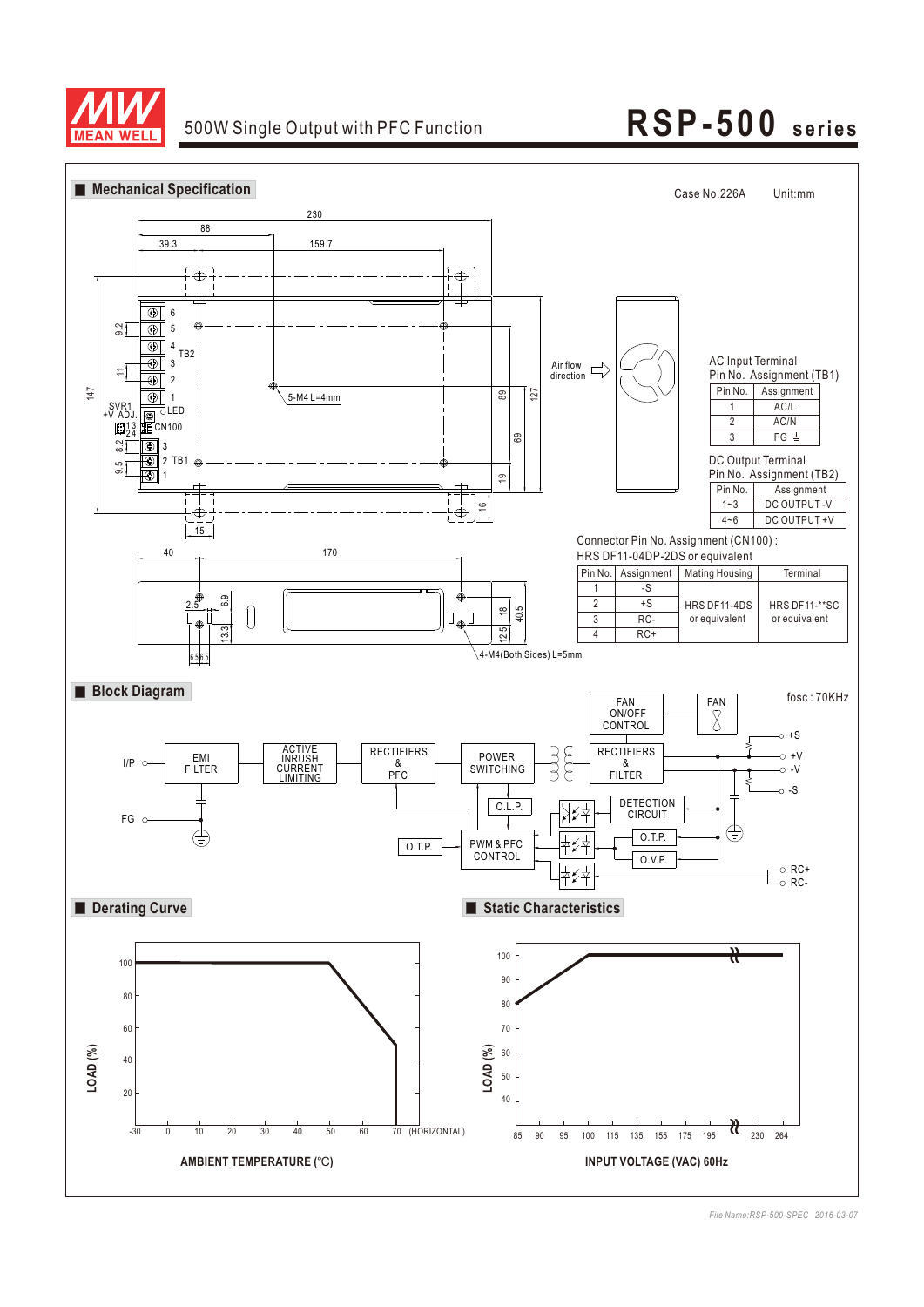

### 500W Single Output with PFC Function

# **USP-3220 5<sup>s</sup> <sup>e</sup> ries RSP-500 seri es**